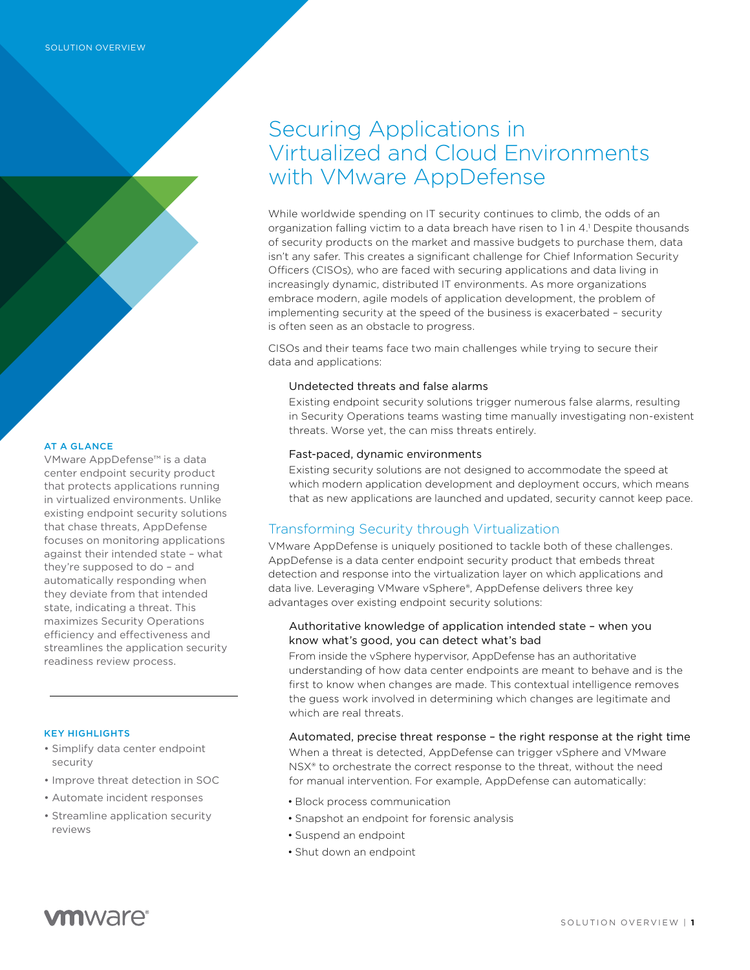# Securing Applications in Virtualized and Cloud Environments with VMware AppDefense

While worldwide spending on IT security continues to climb, the odds of an organization falling victim to a data breach have risen to 1 in 4.<sup>1</sup> Despite thousands of security products on the market and massive budgets to purchase them, data isn't any safer. This creates a significant challenge for Chief Information Security Officers (CISOs), who are faced with securing applications and data living in increasingly dynamic, distributed IT environments. As more organizations embrace modern, agile models of application development, the problem of implementing security at the speed of the business is exacerbated – security is often seen as an obstacle to progress.

CISOs and their teams face two main challenges while trying to secure their data and applications:

### Undetected threats and false alarms

Existing endpoint security solutions trigger numerous false alarms, resulting in Security Operations teams wasting time manually investigating non-existent threats. Worse yet, the can miss threats entirely.

## Fast-paced, dynamic environments

Existing security solutions are not designed to accommodate the speed at which modern application development and deployment occurs, which means that as new applications are launched and updated, security cannot keep pace.

## Transforming Security through Virtualization

VMware AppDefense is uniquely positioned to tackle both of these challenges. AppDefense is a data center endpoint security product that embeds threat detection and response into the virtualization layer on which applications and data live. Leveraging VMware vSphere®, AppDefense delivers three key advantages over existing endpoint security solutions:

## Authoritative knowledge of application intended state – when you know what's good, you can detect what's bad

From inside the vSphere hypervisor, AppDefense has an authoritative understanding of how data center endpoints are meant to behave and is the first to know when changes are made. This contextual intelligence removes the guess work involved in determining which changes are legitimate and which are real threats.

## Automated, precise threat response – the right response at the right time

When a threat is detected, AppDefense can trigger vSphere and VMware NSX® to orchestrate the correct response to the threat, without the need for manual intervention. For example, AppDefense can automatically:

- Block process communication
- Snapshot an endpoint for forensic analysis
- Suspend an endpoint
- Shut down an endpoint

## AT A GLANCE

VMware AppDefense™ is a data center endpoint security product that protects applications running in virtualized environments. Unlike existing endpoint security solutions that chase threats, AppDefense focuses on monitoring applications against their intended state – what they're supposed to do – and automatically responding when they deviate from that intended state, indicating a threat. This maximizes Security Operations efficiency and effectiveness and streamlines the application security readiness review process.

#### KEY HIGHLIGHTS

- Simplify data center endpoint security
- Improve threat detection in SOC
- Automate incident responses
- Streamline application security reviews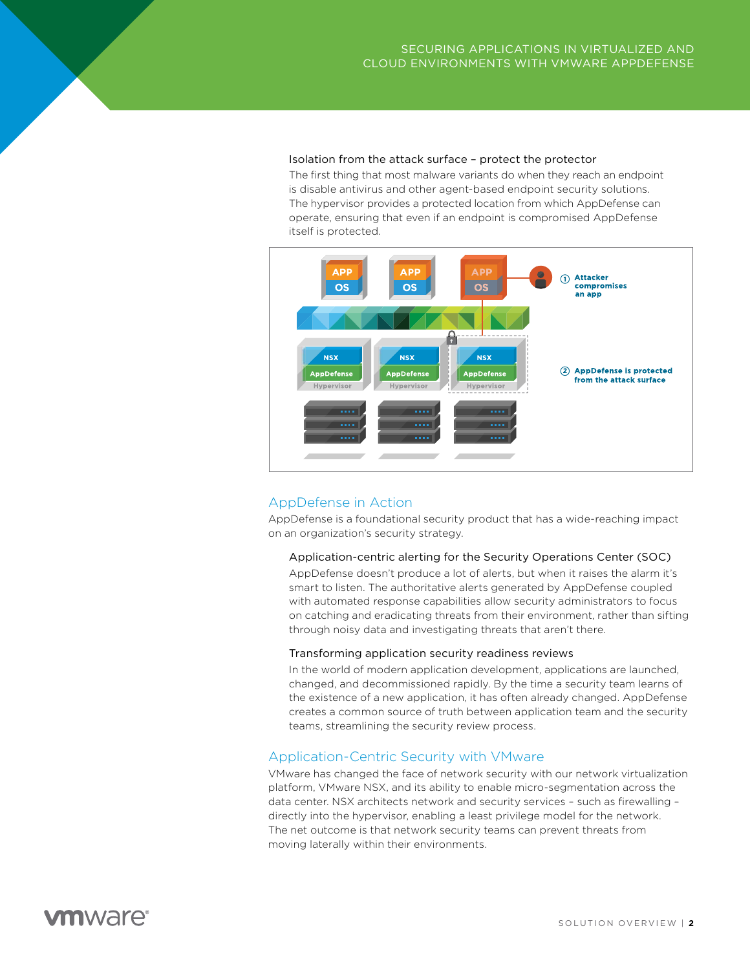#### Isolation from the attack surface – protect the protector

The first thing that most malware variants do when they reach an endpoint is disable antivirus and other agent-based endpoint security solutions. The hypervisor provides a protected location from which AppDefense can operate, ensuring that even if an endpoint is compromised AppDefense itself is protected.



## AppDefense in Action

AppDefense is a foundational security product that has a wide-reaching impact on an organization's security strategy.

#### Application-centric alerting for the Security Operations Center (SOC)

AppDefense doesn't produce a lot of alerts, but when it raises the alarm it's smart to listen. The authoritative alerts generated by AppDefense coupled with automated response capabilities allow security administrators to focus on catching and eradicating threats from their environment, rather than sifting through noisy data and investigating threats that aren't there.

#### Transforming application security readiness reviews

In the world of modern application development, applications are launched, changed, and decommissioned rapidly. By the time a security team learns of the existence of a new application, it has often already changed. AppDefense creates a common source of truth between application team and the security teams, streamlining the security review process.

## Application-Centric Security with VMware

VMware has changed the face of network security with our network virtualization platform, VMware NSX, and its ability to enable micro-segmentation across the data center. NSX architects network and security services – such as firewalling – directly into the hypervisor, enabling a least privilege model for the network. The net outcome is that network security teams can prevent threats from moving laterally within their environments.